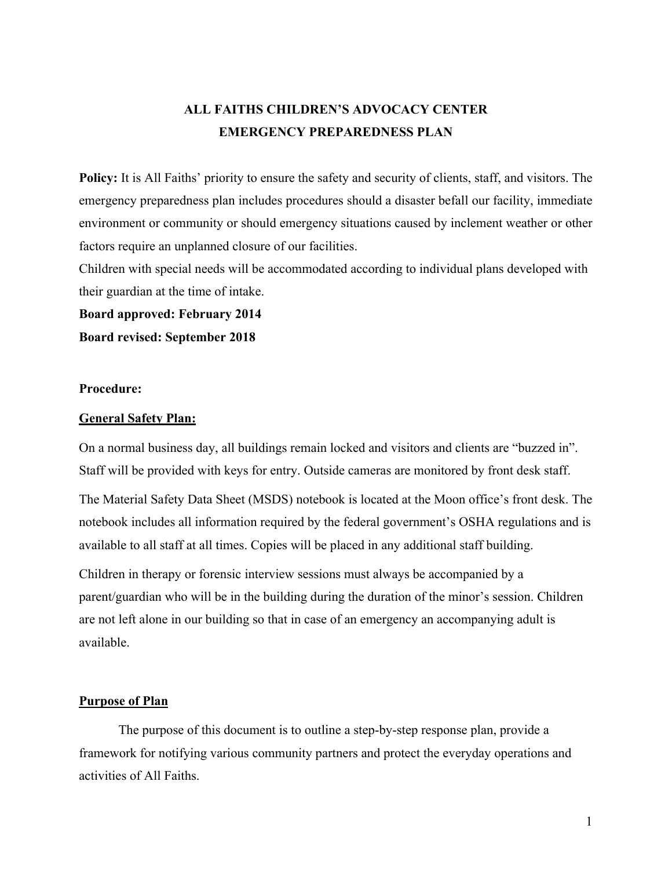# **ALL FAITHS CHILDREN'S ADVOCACY CENTER EMERGENCY PREPAREDNESS PLAN**

**Policy:** It is All Faiths' priority to ensure the safety and security of clients, staff, and visitors. The emergency preparedness plan includes procedures should a disaster befall our facility, immediate environment or community or should emergency situations caused by inclement weather or other factors require an unplanned closure of our facilities.

Children with special needs will be accommodated according to individual plans developed with their guardian at the time of intake.

**Board approved: February 2014 Board revised: September 2018**

## **Procedure:**

### **General Safety Plan:**

On a normal business day, all buildings remain locked and visitors and clients are "buzzed in". Staff will be provided with keys for entry. Outside cameras are monitored by front desk staff.

The Material Safety Data Sheet (MSDS) notebook is located at the Moon office's front desk. The notebook includes all information required by the federal government's OSHA regulations and is available to all staff at all times. Copies will be placed in any additional staff building.

Children in therapy or forensic interview sessions must always be accompanied by a parent/guardian who will be in the building during the duration of the minor's session. Children are not left alone in our building so that in case of an emergency an accompanying adult is available.

### **Purpose of Plan**

The purpose of this document is to outline a step-by-step response plan, provide a framework for notifying various community partners and protect the everyday operations and activities of All Faiths.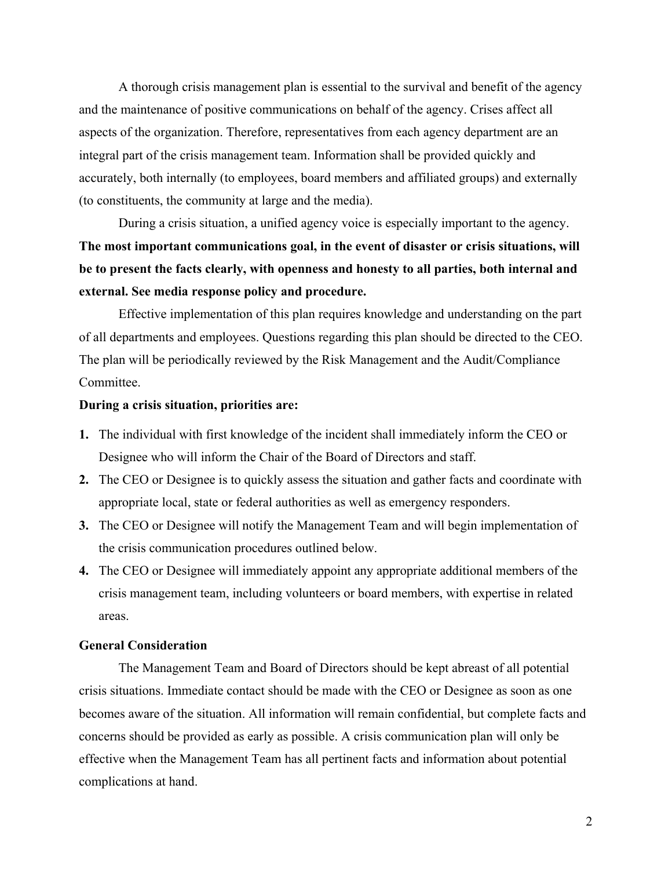A thorough crisis management plan is essential to the survival and benefit of the agency and the maintenance of positive communications on behalf of the agency. Crises affect all aspects of the organization. Therefore, representatives from each agency department are an integral part of the crisis management team. Information shall be provided quickly and accurately, both internally (to employees, board members and affiliated groups) and externally (to constituents, the community at large and the media).

During a crisis situation, a unified agency voice is especially important to the agency. **The most important communications goal, in the event of disaster or crisis situations, will be to present the facts clearly, with openness and honesty to all parties, both internal and external. See media response policy and procedure.** 

Effective implementation of this plan requires knowledge and understanding on the part of all departments and employees. Questions regarding this plan should be directed to the CEO. The plan will be periodically reviewed by the Risk Management and the Audit/Compliance Committee.

### **During a crisis situation, priorities are:**

- **1.** The individual with first knowledge of the incident shall immediately inform the CEO or Designee who will inform the Chair of the Board of Directors and staff.
- **2.** The CEO or Designee is to quickly assess the situation and gather facts and coordinate with appropriate local, state or federal authorities as well as emergency responders.
- **3.** The CEO or Designee will notify the Management Team and will begin implementation of the crisis communication procedures outlined below.
- **4.** The CEO or Designee will immediately appoint any appropriate additional members of the crisis management team, including volunteers or board members, with expertise in related areas.

### **General Consideration**

The Management Team and Board of Directors should be kept abreast of all potential crisis situations. Immediate contact should be made with the CEO or Designee as soon as one becomes aware of the situation. All information will remain confidential, but complete facts and concerns should be provided as early as possible. A crisis communication plan will only be effective when the Management Team has all pertinent facts and information about potential complications at hand.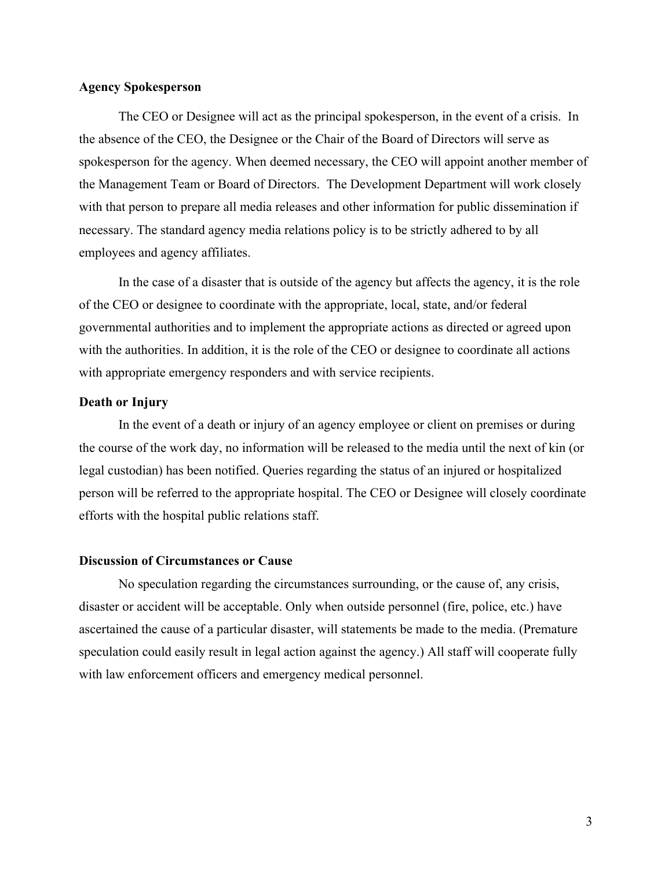#### **Agency Spokesperson**

The CEO or Designee will act as the principal spokesperson, in the event of a crisis. In the absence of the CEO, the Designee or the Chair of the Board of Directors will serve as spokesperson for the agency. When deemed necessary, the CEO will appoint another member of the Management Team or Board of Directors. The Development Department will work closely with that person to prepare all media releases and other information for public dissemination if necessary. The standard agency media relations policy is to be strictly adhered to by all employees and agency affiliates.

In the case of a disaster that is outside of the agency but affects the agency, it is the role of the CEO or designee to coordinate with the appropriate, local, state, and/or federal governmental authorities and to implement the appropriate actions as directed or agreed upon with the authorities. In addition, it is the role of the CEO or designee to coordinate all actions with appropriate emergency responders and with service recipients.

### **Death or Injury**

In the event of a death or injury of an agency employee or client on premises or during the course of the work day, no information will be released to the media until the next of kin (or legal custodian) has been notified. Queries regarding the status of an injured or hospitalized person will be referred to the appropriate hospital. The CEO or Designee will closely coordinate efforts with the hospital public relations staff.

## **Discussion of Circumstances or Cause**

No speculation regarding the circumstances surrounding, or the cause of, any crisis, disaster or accident will be acceptable. Only when outside personnel (fire, police, etc.) have ascertained the cause of a particular disaster, will statements be made to the media. (Premature speculation could easily result in legal action against the agency.) All staff will cooperate fully with law enforcement officers and emergency medical personnel.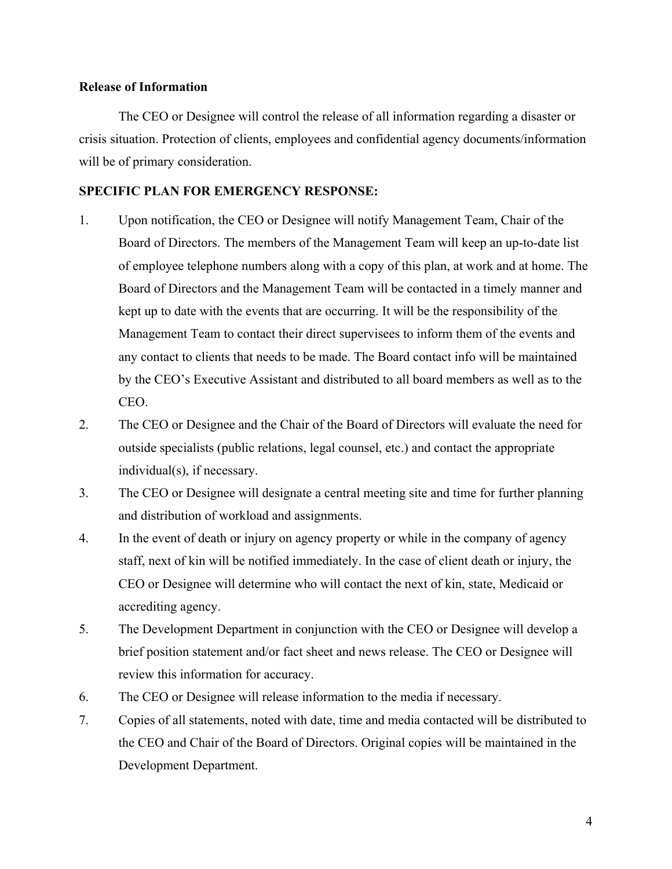### **Release of Information**

The CEO or Designee will control the release of all information regarding a disaster or crisis situation. Protection of clients, employees and confidential agency documents/information will be of primary consideration.

## **SPECIFIC PLAN FOR EMERGENCY RESPONSE:**

- 1. Upon notification, the CEO or Designee will notify Management Team, Chair of the Board of Directors. The members of the Management Team will keep an up-to-date list of employee telephone numbers along with a copy of this plan, at work and at home. The Board of Directors and the Management Team will be contacted in a timely manner and kept up to date with the events that are occurring. It will be the responsibility of the Management Team to contact their direct supervisees to inform them of the events and any contact to clients that needs to be made. The Board contact info will be maintained by the CEO's Executive Assistant and distributed to all board members as well as to the CEO.
- 2. The CEO or Designee and the Chair of the Board of Directors will evaluate the need for outside specialists (public relations, legal counsel, etc.) and contact the appropriate individual(s), if necessary.
- 3. The CEO or Designee will designate a central meeting site and time for further planning and distribution of workload and assignments.
- 4. In the event of death or injury on agency property or while in the company of agency staff, next of kin will be notified immediately. In the case of client death or injury, the CEO or Designee will determine who will contact the next of kin, state, Medicaid or accrediting agency.
- 5. The Development Department in conjunction with the CEO or Designee will develop a brief position statement and/or fact sheet and news release. The CEO or Designee will review this information for accuracy.
- 6. The CEO or Designee will release information to the media if necessary.
- 7. Copies of all statements, noted with date, time and media contacted will be distributed to the CEO and Chair of the Board of Directors. Original copies will be maintained in the Development Department.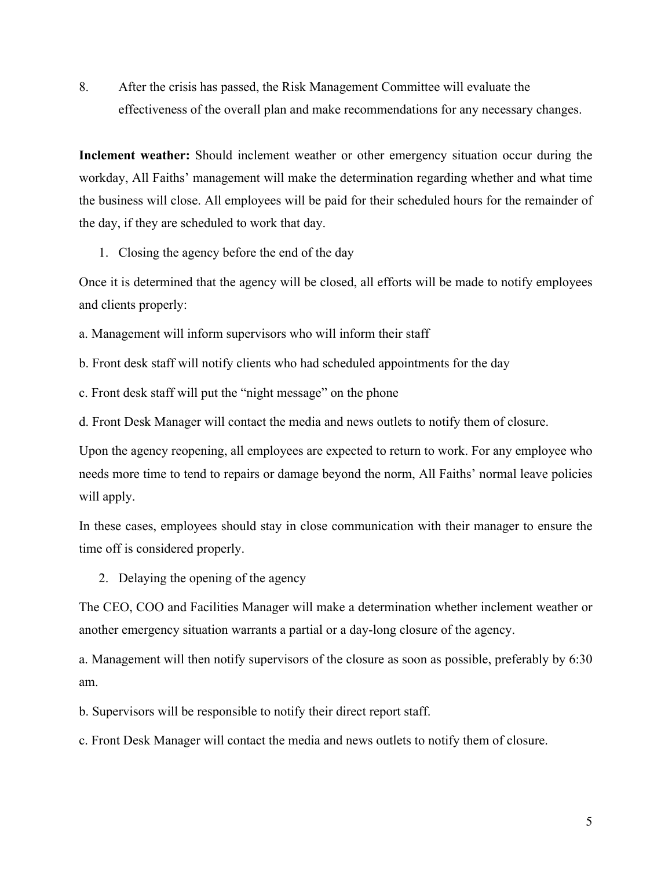8. After the crisis has passed, the Risk Management Committee will evaluate the effectiveness of the overall plan and make recommendations for any necessary changes.

**Inclement weather:** Should inclement weather or other emergency situation occur during the workday, All Faiths' management will make the determination regarding whether and what time the business will close. All employees will be paid for their scheduled hours for the remainder of the day, if they are scheduled to work that day.

1. Closing the agency before the end of the day

Once it is determined that the agency will be closed, all efforts will be made to notify employees and clients properly:

a. Management will inform supervisors who will inform their staff

b. Front desk staff will notify clients who had scheduled appointments for the day

c. Front desk staff will put the "night message" on the phone

d. Front Desk Manager will contact the media and news outlets to notify them of closure.

Upon the agency reopening, all employees are expected to return to work. For any employee who needs more time to tend to repairs or damage beyond the norm, All Faiths' normal leave policies will apply.

In these cases, employees should stay in close communication with their manager to ensure the time off is considered properly.

2. Delaying the opening of the agency

The CEO, COO and Facilities Manager will make a determination whether inclement weather or another emergency situation warrants a partial or a day-long closure of the agency.

a. Management will then notify supervisors of the closure as soon as possible, preferably by 6:30 am.

b. Supervisors will be responsible to notify their direct report staff.

c. Front Desk Manager will contact the media and news outlets to notify them of closure.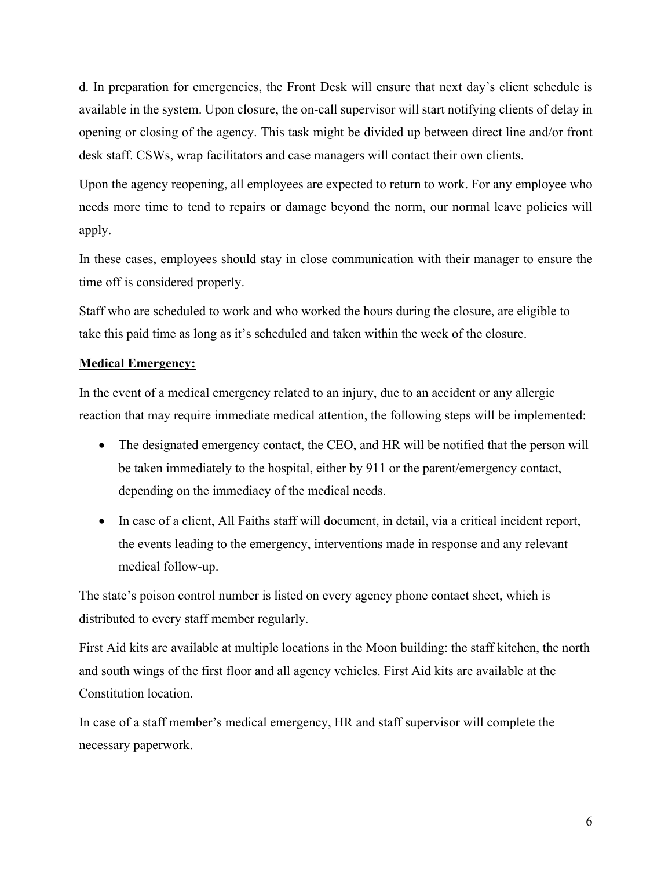d. In preparation for emergencies, the Front Desk will ensure that next day's client schedule is available in the system. Upon closure, the on-call supervisor will start notifying clients of delay in opening or closing of the agency. This task might be divided up between direct line and/or front desk staff. CSWs, wrap facilitators and case managers will contact their own clients.

Upon the agency reopening, all employees are expected to return to work. For any employee who needs more time to tend to repairs or damage beyond the norm, our normal leave policies will apply.

In these cases, employees should stay in close communication with their manager to ensure the time off is considered properly.

Staff who are scheduled to work and who worked the hours during the closure, are eligible to take this paid time as long as it's scheduled and taken within the week of the closure.

## **Medical Emergency:**

In the event of a medical emergency related to an injury, due to an accident or any allergic reaction that may require immediate medical attention, the following steps will be implemented:

- The designated emergency contact, the CEO, and HR will be notified that the person will be taken immediately to the hospital, either by 911 or the parent/emergency contact, depending on the immediacy of the medical needs.
- In case of a client, All Faiths staff will document, in detail, via a critical incident report, the events leading to the emergency, interventions made in response and any relevant medical follow-up.

The state's poison control number is listed on every agency phone contact sheet, which is distributed to every staff member regularly.

First Aid kits are available at multiple locations in the Moon building: the staff kitchen, the north and south wings of the first floor and all agency vehicles. First Aid kits are available at the Constitution location.

In case of a staff member's medical emergency, HR and staff supervisor will complete the necessary paperwork.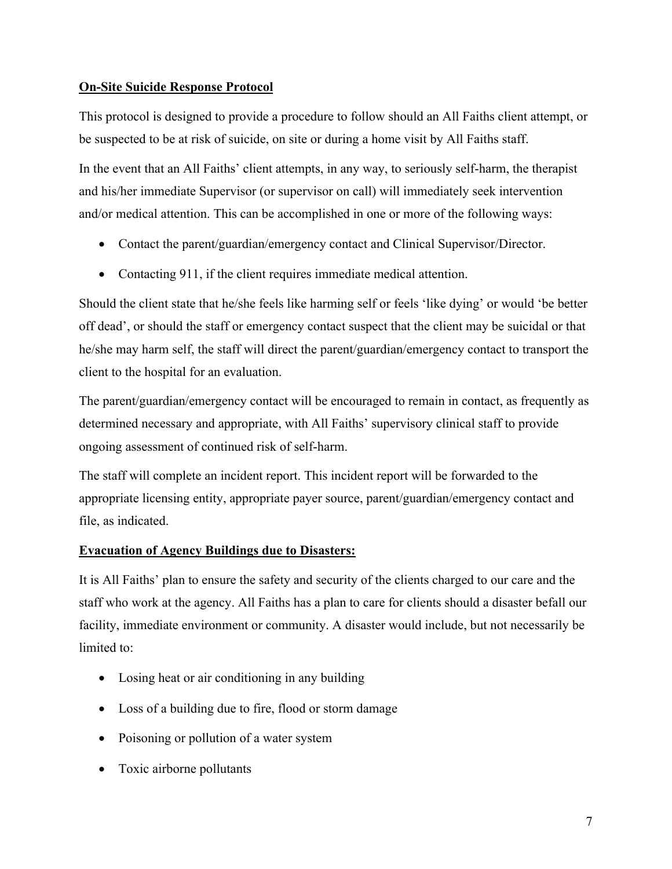## **On-Site Suicide Response Protocol**

This protocol is designed to provide a procedure to follow should an All Faiths client attempt, or be suspected to be at risk of suicide, on site or during a home visit by All Faiths staff.

In the event that an All Faiths' client attempts, in any way, to seriously self-harm, the therapist and his/her immediate Supervisor (or supervisor on call) will immediately seek intervention and/or medical attention. This can be accomplished in one or more of the following ways:

- Contact the parent/guardian/emergency contact and Clinical Supervisor/Director.
- Contacting 911, if the client requires immediate medical attention.

Should the client state that he/she feels like harming self or feels 'like dying' or would 'be better off dead', or should the staff or emergency contact suspect that the client may be suicidal or that he/she may harm self, the staff will direct the parent/guardian/emergency contact to transport the client to the hospital for an evaluation.

The parent/guardian/emergency contact will be encouraged to remain in contact, as frequently as determined necessary and appropriate, with All Faiths' supervisory clinical staff to provide ongoing assessment of continued risk of self-harm.

The staff will complete an incident report. This incident report will be forwarded to the appropriate licensing entity, appropriate payer source, parent/guardian/emergency contact and file, as indicated.

## **Evacuation of Agency Buildings due to Disasters:**

It is All Faiths' plan to ensure the safety and security of the clients charged to our care and the staff who work at the agency. All Faiths has a plan to care for clients should a disaster befall our facility, immediate environment or community. A disaster would include, but not necessarily be limited to:

- Losing heat or air conditioning in any building
- Loss of a building due to fire, flood or storm damage
- Poisoning or pollution of a water system
- Toxic airborne pollutants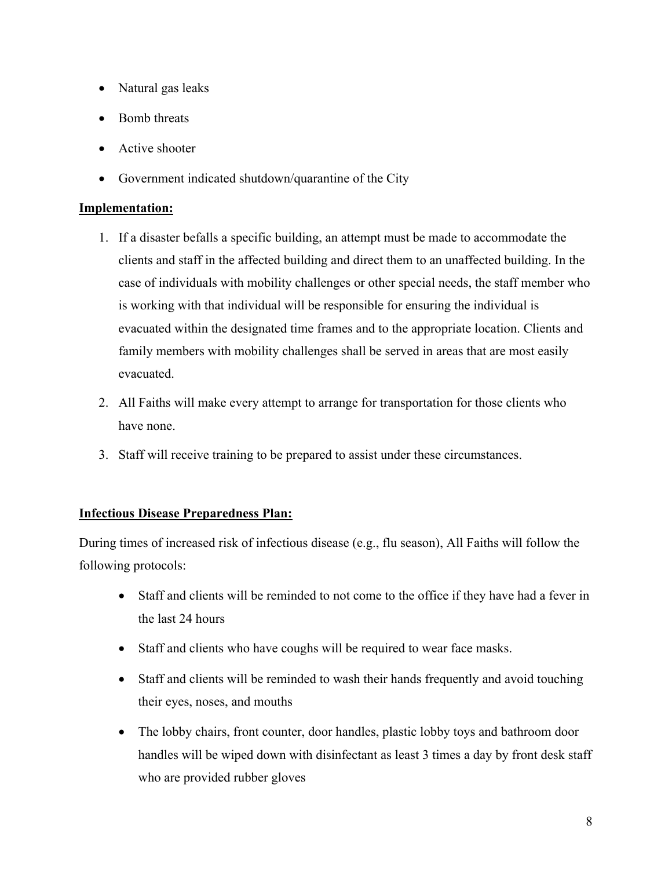- Natural gas leaks
- Bomb threats
- Active shooter
- Government indicated shutdown/quarantine of the City

## **Implementation:**

- 1. If a disaster befalls a specific building, an attempt must be made to accommodate the clients and staff in the affected building and direct them to an unaffected building. In the case of individuals with mobility challenges or other special needs, the staff member who is working with that individual will be responsible for ensuring the individual is evacuated within the designated time frames and to the appropriate location. Clients and family members with mobility challenges shall be served in areas that are most easily evacuated.
- 2. All Faiths will make every attempt to arrange for transportation for those clients who have none.
- 3. Staff will receive training to be prepared to assist under these circumstances.

## **Infectious Disease Preparedness Plan:**

During times of increased risk of infectious disease (e.g., flu season), All Faiths will follow the following protocols:

- Staff and clients will be reminded to not come to the office if they have had a fever in the last 24 hours
- Staff and clients who have coughs will be required to wear face masks.
- Staff and clients will be reminded to wash their hands frequently and avoid touching their eyes, noses, and mouths
- The lobby chairs, front counter, door handles, plastic lobby toys and bathroom door handles will be wiped down with disinfectant as least 3 times a day by front desk staff who are provided rubber gloves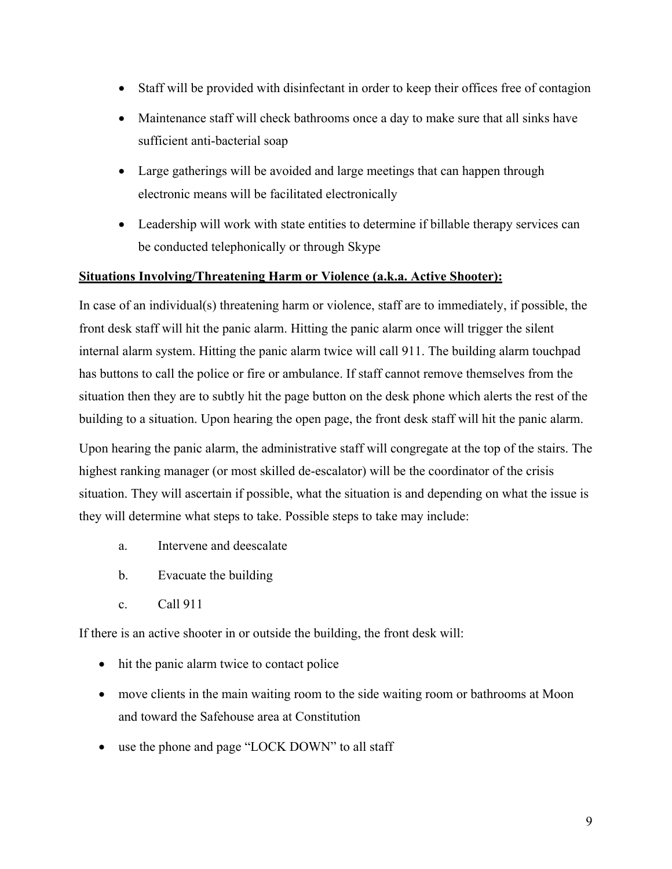- Staff will be provided with disinfectant in order to keep their offices free of contagion
- Maintenance staff will check bathrooms once a day to make sure that all sinks have sufficient anti-bacterial soap
- Large gatherings will be avoided and large meetings that can happen through electronic means will be facilitated electronically
- Leadership will work with state entities to determine if billable therapy services can be conducted telephonically or through Skype

## **Situations Involving/Threatening Harm or Violence (a.k.a. Active Shooter):**

In case of an individual(s) threatening harm or violence, staff are to immediately, if possible, the front desk staff will hit the panic alarm. Hitting the panic alarm once will trigger the silent internal alarm system. Hitting the panic alarm twice will call 911. The building alarm touchpad has buttons to call the police or fire or ambulance. If staff cannot remove themselves from the situation then they are to subtly hit the page button on the desk phone which alerts the rest of the building to a situation. Upon hearing the open page, the front desk staff will hit the panic alarm.

Upon hearing the panic alarm, the administrative staff will congregate at the top of the stairs. The highest ranking manager (or most skilled de-escalator) will be the coordinator of the crisis situation. They will ascertain if possible, what the situation is and depending on what the issue is they will determine what steps to take. Possible steps to take may include:

- a. Intervene and deescalate
- b. Evacuate the building
- c. Call 911

If there is an active shooter in or outside the building, the front desk will:

- hit the panic alarm twice to contact police
- move clients in the main waiting room to the side waiting room or bathrooms at Moon and toward the Safehouse area at Constitution
- use the phone and page "LOCK DOWN" to all staff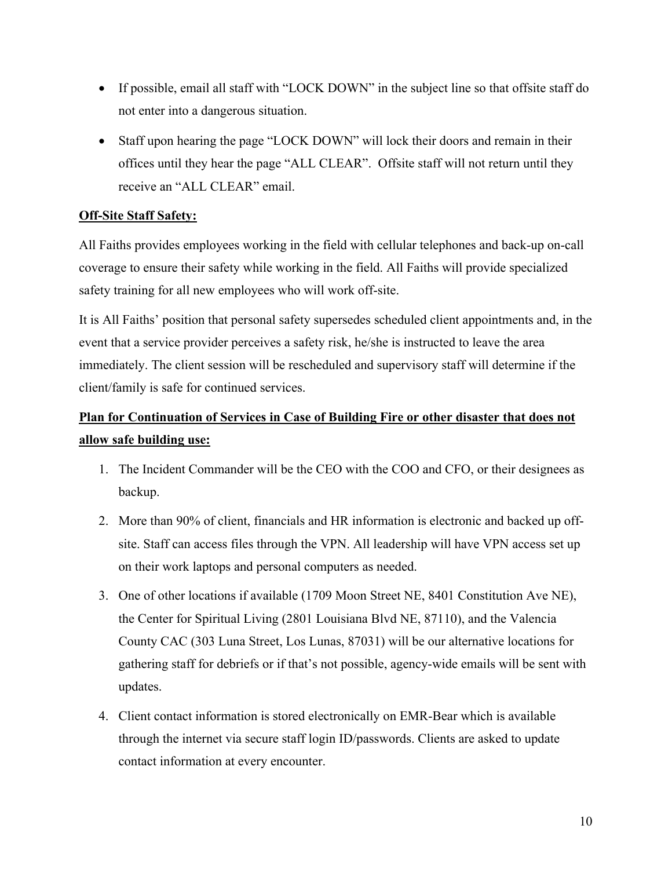- If possible, email all staff with "LOCK DOWN" in the subject line so that offsite staff do not enter into a dangerous situation.
- Staff upon hearing the page "LOCK DOWN" will lock their doors and remain in their offices until they hear the page "ALL CLEAR". Offsite staff will not return until they receive an "ALL CLEAR" email.

# **Off-Site Staff Safety:**

All Faiths provides employees working in the field with cellular telephones and back-up on-call coverage to ensure their safety while working in the field. All Faiths will provide specialized safety training for all new employees who will work off-site.

It is All Faiths' position that personal safety supersedes scheduled client appointments and, in the event that a service provider perceives a safety risk, he/she is instructed to leave the area immediately. The client session will be rescheduled and supervisory staff will determine if the client/family is safe for continued services.

# **Plan for Continuation of Services in Case of Building Fire or other disaster that does not allow safe building use:**

- 1. The Incident Commander will be the CEO with the COO and CFO, or their designees as backup.
- 2. More than 90% of client, financials and HR information is electronic and backed up offsite. Staff can access files through the VPN. All leadership will have VPN access set up on their work laptops and personal computers as needed.
- 3. One of other locations if available (1709 Moon Street NE, 8401 Constitution Ave NE), the Center for Spiritual Living (2801 Louisiana Blvd NE, 87110), and the Valencia County CAC (303 Luna Street, Los Lunas, 87031) will be our alternative locations for gathering staff for debriefs or if that's not possible, agency-wide emails will be sent with updates.
- 4. Client contact information is stored electronically on EMR-Bear which is available through the internet via secure staff login ID/passwords. Clients are asked to update contact information at every encounter.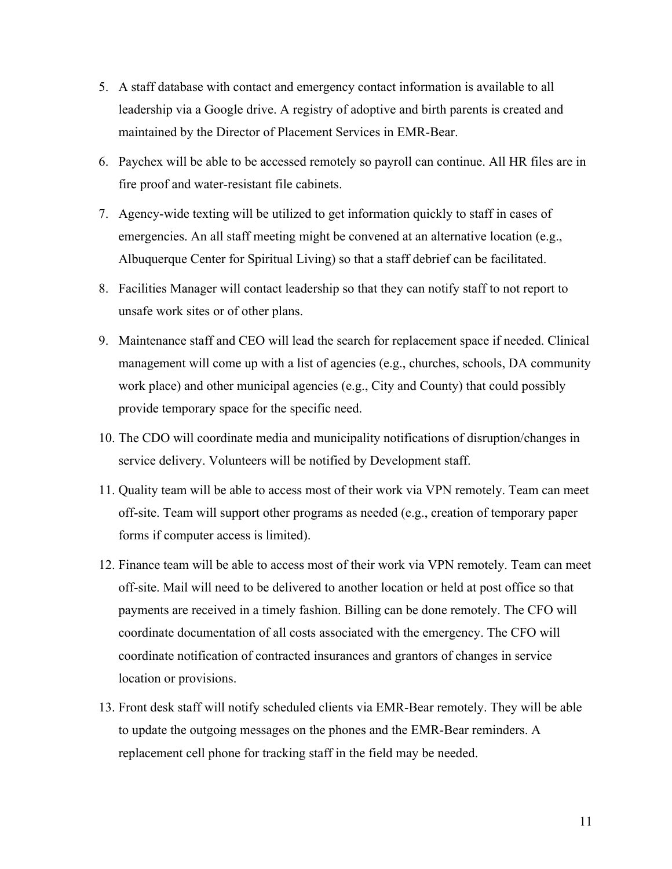- 5. A staff database with contact and emergency contact information is available to all leadership via a Google drive. A registry of adoptive and birth parents is created and maintained by the Director of Placement Services in EMR-Bear.
- 6. Paychex will be able to be accessed remotely so payroll can continue. All HR files are in fire proof and water-resistant file cabinets.
- 7. Agency-wide texting will be utilized to get information quickly to staff in cases of emergencies. An all staff meeting might be convened at an alternative location (e.g., Albuquerque Center for Spiritual Living) so that a staff debrief can be facilitated.
- 8. Facilities Manager will contact leadership so that they can notify staff to not report to unsafe work sites or of other plans.
- 9. Maintenance staff and CEO will lead the search for replacement space if needed. Clinical management will come up with a list of agencies (e.g., churches, schools, DA community work place) and other municipal agencies (e.g., City and County) that could possibly provide temporary space for the specific need.
- 10. The CDO will coordinate media and municipality notifications of disruption/changes in service delivery. Volunteers will be notified by Development staff.
- 11. Quality team will be able to access most of their work via VPN remotely. Team can meet off-site. Team will support other programs as needed (e.g., creation of temporary paper forms if computer access is limited).
- 12. Finance team will be able to access most of their work via VPN remotely. Team can meet off-site. Mail will need to be delivered to another location or held at post office so that payments are received in a timely fashion. Billing can be done remotely. The CFO will coordinate documentation of all costs associated with the emergency. The CFO will coordinate notification of contracted insurances and grantors of changes in service location or provisions.
- 13. Front desk staff will notify scheduled clients via EMR-Bear remotely. They will be able to update the outgoing messages on the phones and the EMR-Bear reminders. A replacement cell phone for tracking staff in the field may be needed.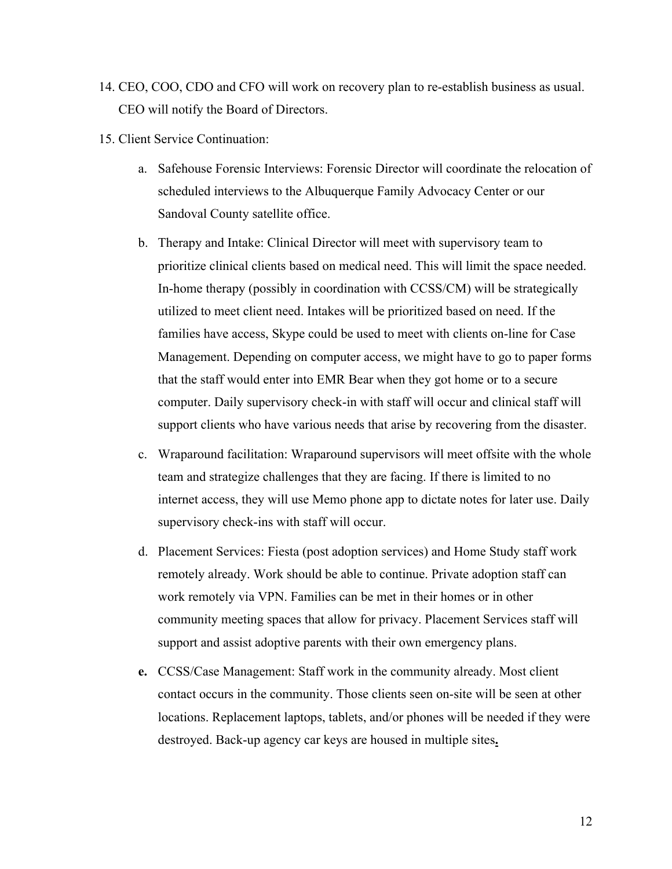- 14. CEO, COO, CDO and CFO will work on recovery plan to re-establish business as usual. CEO will notify the Board of Directors.
- 15. Client Service Continuation:
	- a. Safehouse Forensic Interviews: Forensic Director will coordinate the relocation of scheduled interviews to the Albuquerque Family Advocacy Center or our Sandoval County satellite office.
	- b. Therapy and Intake: Clinical Director will meet with supervisory team to prioritize clinical clients based on medical need. This will limit the space needed. In-home therapy (possibly in coordination with CCSS/CM) will be strategically utilized to meet client need. Intakes will be prioritized based on need. If the families have access, Skype could be used to meet with clients on-line for Case Management. Depending on computer access, we might have to go to paper forms that the staff would enter into EMR Bear when they got home or to a secure computer. Daily supervisory check-in with staff will occur and clinical staff will support clients who have various needs that arise by recovering from the disaster.
	- c. Wraparound facilitation: Wraparound supervisors will meet offsite with the whole team and strategize challenges that they are facing. If there is limited to no internet access, they will use Memo phone app to dictate notes for later use. Daily supervisory check-ins with staff will occur.
	- d. Placement Services: Fiesta (post adoption services) and Home Study staff work remotely already. Work should be able to continue. Private adoption staff can work remotely via VPN. Families can be met in their homes or in other community meeting spaces that allow for privacy. Placement Services staff will support and assist adoptive parents with their own emergency plans.
	- **e.** CCSS/Case Management: Staff work in the community already. Most client contact occurs in the community. Those clients seen on-site will be seen at other locations. Replacement laptops, tablets, and/or phones will be needed if they were destroyed. Back-up agency car keys are housed in multiple sites**.**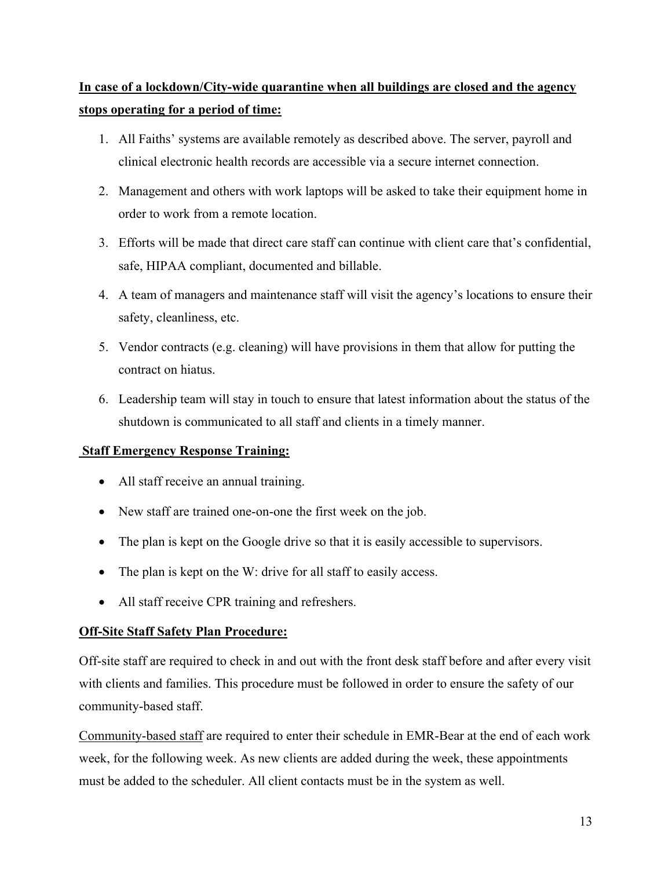# **In case of a lockdown/City-wide quarantine when all buildings are closed and the agency stops operating for a period of time:**

- 1. All Faiths' systems are available remotely as described above. The server, payroll and clinical electronic health records are accessible via a secure internet connection.
- 2. Management and others with work laptops will be asked to take their equipment home in order to work from a remote location.
- 3. Efforts will be made that direct care staff can continue with client care that's confidential, safe, HIPAA compliant, documented and billable.
- 4. A team of managers and maintenance staff will visit the agency's locations to ensure their safety, cleanliness, etc.
- 5. Vendor contracts (e.g. cleaning) will have provisions in them that allow for putting the contract on hiatus.
- 6. Leadership team will stay in touch to ensure that latest information about the status of the shutdown is communicated to all staff and clients in a timely manner.

# **Staff Emergency Response Training:**

- All staff receive an annual training.
- New staff are trained one-on-one the first week on the job.
- The plan is kept on the Google drive so that it is easily accessible to supervisors.
- The plan is kept on the W: drive for all staff to easily access.
- All staff receive CPR training and refreshers.

## **Off-Site Staff Safety Plan Procedure:**

Off-site staff are required to check in and out with the front desk staff before and after every visit with clients and families. This procedure must be followed in order to ensure the safety of our community-based staff.

Community-based staff are required to enter their schedule in EMR-Bear at the end of each work week, for the following week. As new clients are added during the week, these appointments must be added to the scheduler. All client contacts must be in the system as well.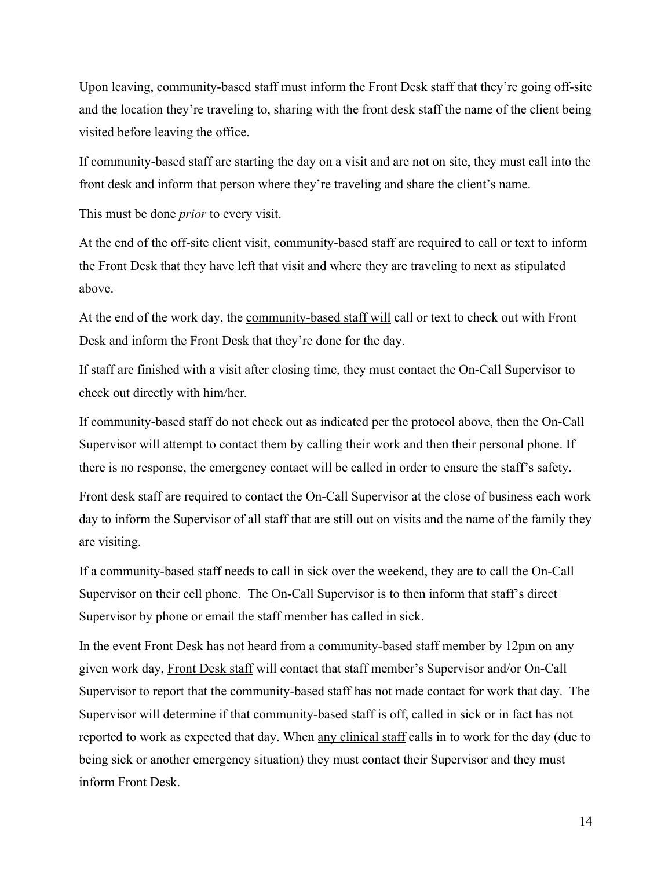Upon leaving, community-based staff must inform the Front Desk staff that they're going off-site and the location they're traveling to, sharing with the front desk staff the name of the client being visited before leaving the office.

If community-based staff are starting the day on a visit and are not on site, they must call into the front desk and inform that person where they're traveling and share the client's name.

This must be done *prior* to every visit.

At the end of the off-site client visit, community-based staff are required to call or text to inform the Front Desk that they have left that visit and where they are traveling to next as stipulated above.

At the end of the work day, the community-based staff will call or text to check out with Front Desk and inform the Front Desk that they're done for the day.

If staff are finished with a visit after closing time, they must contact the On-Call Supervisor to check out directly with him/her*.* 

If community-based staff do not check out as indicated per the protocol above, then the On-Call Supervisor will attempt to contact them by calling their work and then their personal phone. If there is no response, the emergency contact will be called in order to ensure the staff's safety.

Front desk staff are required to contact the On-Call Supervisor at the close of business each work day to inform the Supervisor of all staff that are still out on visits and the name of the family they are visiting.

If a community-based staff needs to call in sick over the weekend, they are to call the On-Call Supervisor on their cell phone. The <u>On-Call Supervisor</u> is to then inform that staff's direct Supervisor by phone or email the staff member has called in sick.

In the event Front Desk has not heard from a community-based staff member by 12pm on any given work day, Front Desk staff will contact that staff member's Supervisor and/or On-Call Supervisor to report that the community-based staff has not made contact for work that day. The Supervisor will determine if that community-based staff is off, called in sick or in fact has not reported to work as expected that day. When any clinical staff calls in to work for the day (due to being sick or another emergency situation) they must contact their Supervisor and they must inform Front Desk.